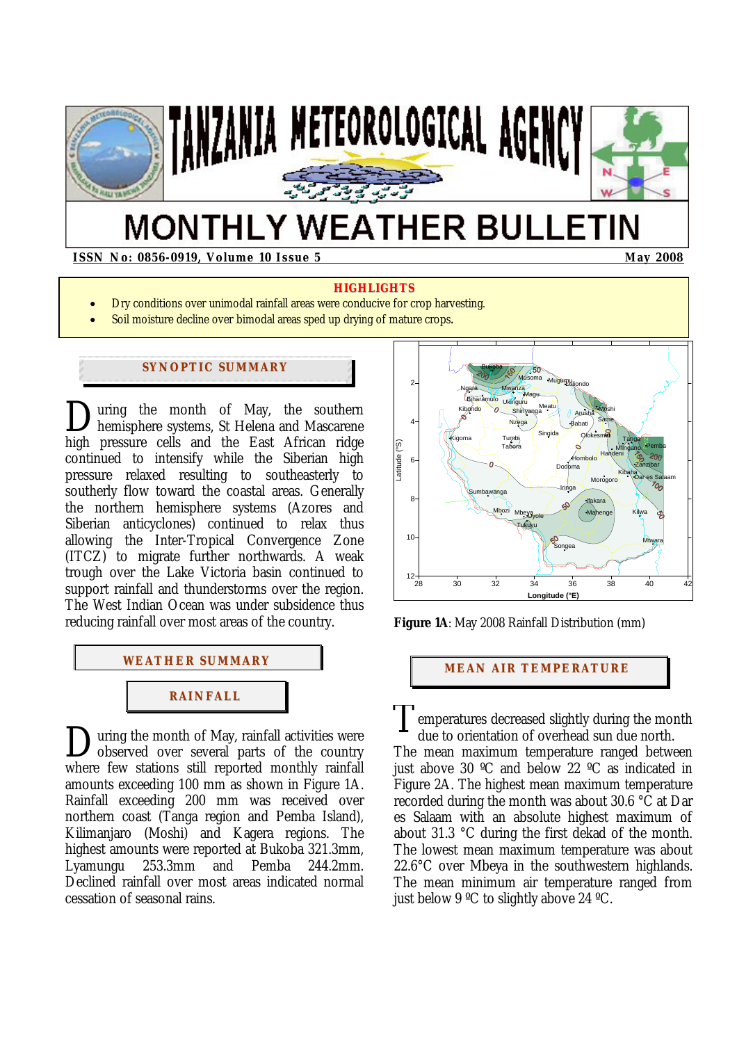

# **MONTHLY WEATHER BULLETIN**

**ISSN No: 0856-0919, Volume 10 Issue 5 May 2008** May 2008

#### **HIGHLIGHTS**

- Dry conditions over unimodal rainfall areas were conducive for crop harvesting.
- Soil moisture decline over bimodal areas sped up drying of mature crops.

# **SYNOPTIC SUMMARY**

uring the month of May, the southern hemisphere systems, St Helena and Mascarene high pressure cells and the East African ridge continued to intensify while the Siberian high pressure relaxed resulting to southeasterly to southerly flow toward the coastal areas. Generally the northern hemisphere systems (Azores and Siberian anticyclones) continued to relax thus allowing the Inter-Tropical Convergence Zone (ITCZ) to migrate further northwards. A weak trough over the Lake Victoria basin continued to support rainfall and thunderstorms over the region. The West Indian Ocean was under subsidence thus reducing rainfall over most areas of the country.  $\sum_{h}$ 

# **WEATHER SUMMARY**



uring the month of May, rainfall activities were observed over several parts of the country where few stations still reported monthly rainfall amounts exceeding 100 mm as shown in Figure 1A. Rainfall exceeding 200 mm was received over northern coast (Tanga region and Pemba Island), Kilimanjaro (Moshi) and Kagera regions. The highest amounts were reported at Bukoba 321.3mm, Lyamungu 253.3mm and Pemba 244.2mm. Declined rainfall over most areas indicated normal cessation of seasonal rains. During the month of May, rainfall activities were<br>Dobserved over several parts of the country The



**Figure 1A**: May 2008 Rainfall Distribution (mm)

## **MEAN AIR TEMPERATURE**

emperatures decreased slightly during the month due to orientation of overhead sun due north. The mean maximum temperature ranged between just above 30 ºC and below 22 ºC as indicated in Figure 2A. The highest mean maximum temperature recorded during the month was about 30.6 °C at Dar es Salaam with an absolute highest maximum of about 31.3 °C during the first dekad of the month. The lowest mean maximum temperature was about 22.6°C over Mbeya in the southwestern highlands. The mean minimum air temperature ranged from just below 9 ºC to slightly above 24 ºC.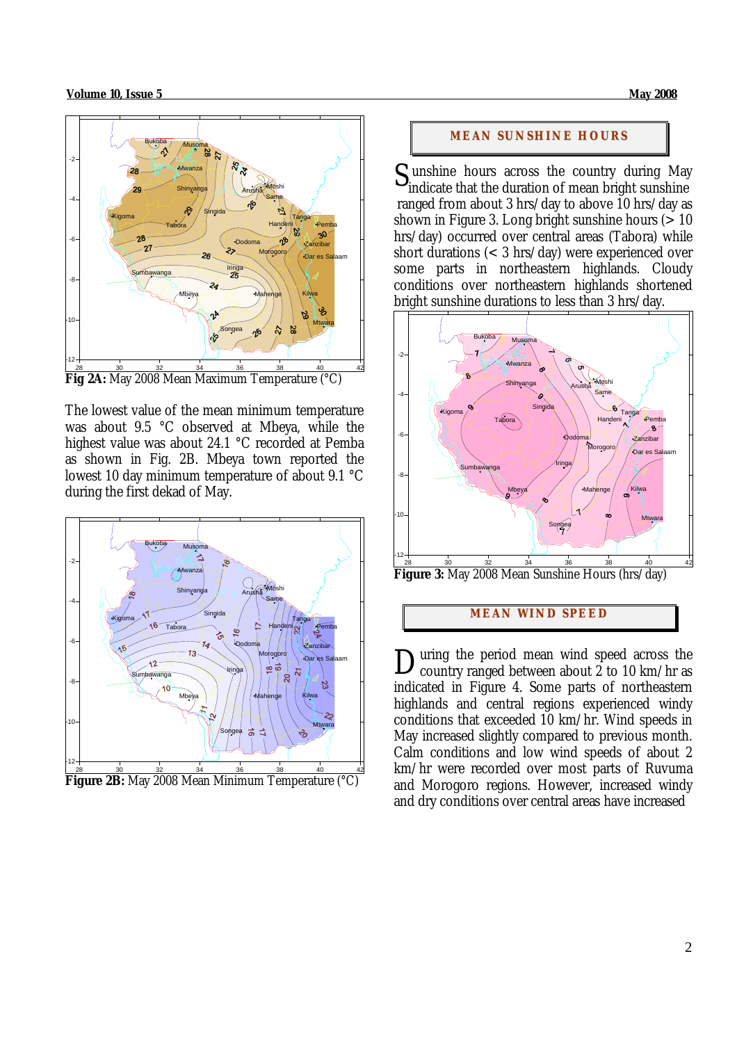#### **Volume 10, Issue 5 May 2008**



**Fig 2A:** May 2008 Mean Maximum Temperature (°C)

The lowest value of the mean minimum temperature was about 9.5 °C observed at Mbeya, while the highest value was about 24.1 °C recorded at Pemba as shown in Fig. 2B. Mbeya town reported the lowest 10 day minimum temperature of about 9.1 °C during the first dekad of May.





#### **MEAN SUNSHINE HOURS**

 unshine hours across the country during May S unshine hours across the country during May indicate that the duration of mean bright sunshine ranged from about 3 hrs/day to above 10 hrs/day as shown in Figure 3. Long bright sunshine hours  $(>10$ hrs/day) occurred over central areas (Tabora) while short durations (< 3 hrs/day) were experienced over some parts in northeastern highlands. Cloudy conditions over northeastern highlands shortened bright sunshine durations to less than 3 hrs/day.



**Figure 3:** May 2008 Mean Sunshine Hours (hrs/day)

# **MEAN WI ND SPEED**

uring the period mean wind speed across the country ranged between about  $\overline{2}$  to 10 km/hr as indicated in Figure 4. Some parts of northeastern highlands and central regions experienced windy conditions that exceeded 10 km/hr. Wind speeds in May increased slightly compared to previous month. Calm conditions and low wind speeds of about 2 km/hr were recorded over most parts of Ruvuma and Morogoro regions. However, increased windy and dry conditions over central areas have increased D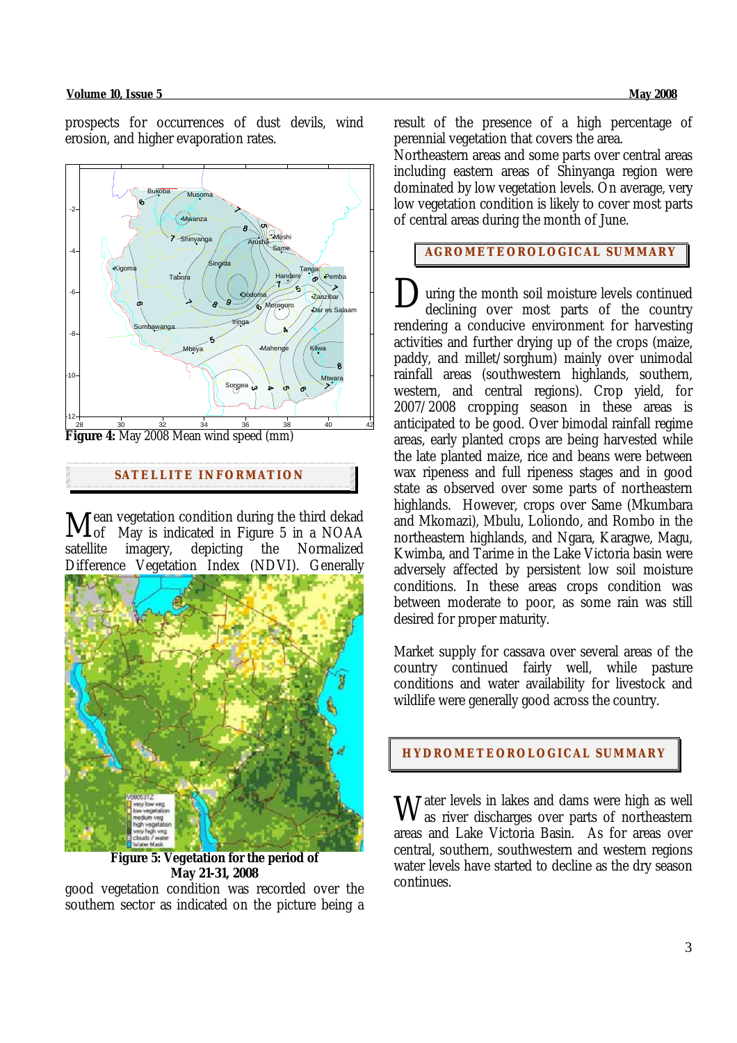#### **Volume 10, Issue 5 May 2008**

prospects for occurrences of dust devils, wind erosion, and higher evaporation rates.



**Figure 4:** May 2008 Mean wind speed (mm)

# **SATELLITE I NFORMATION**

ean vegetation condition during the third dekad  $\mathbf{M}_{\text{of}}^{\text{ean vegetation}}$  condition during the third dekad  $\mathbf{M}_{\text{of}}$  May is indicated in Figure 5 in a NOAA satellite imagery, depicting the Normalized Difference Vegetation Index (NDVI). Generally



 **Figure 5: Vegetation for the period of May 21-31, 2008** 

good vegetation condition was recorded over the southern sector as indicated on the picture being a

result of the presence of a high percentage of perennial vegetation that covers the area.

Northeastern areas and some parts over central areas including eastern areas of Shinyanga region were dominated by low vegetation levels. On average, very low vegetation condition is likely to cover most parts of central areas during the month of June.

**AGROMETEOROLOGICAL SUMMARY**

uring the month soil moisture levels continued declining over most parts of the country rendering a conducive environment for harvesting activities and further drying up of the crops (maize, paddy, and millet/sorghum) mainly over unimodal rainfall areas (southwestern highlands, southern, western, and central regions). Crop yield, for 2007/2008 cropping season in these areas is anticipated to be good. Over bimodal rainfall regime areas, early planted crops are being harvested while the late planted maize, rice and beans were between wax ripeness and full ripeness stages and in good state as observed over some parts of northeastern highlands. However, crops over Same (Mkumbara and Mkomazi), Mbulu, Loliondo, and Rombo in the northeastern highlands, and Ngara, Karagwe, Magu, Kwimba, and Tarime in the Lake Victoria basin were adversely affected by persistent low soil moisture conditions. In these areas crops condition was between moderate to poor, as some rain was still desired for proper maturity. D

Market supply for cassava over several areas of the country continued fairly well, while pasture conditions and water availability for livestock and wildlife were generally good across the country.

# **HYDROMETEOROLOGICAL SUMMARY**

 $\rm W$  ater levels in lakes and dams were high as well as iver discharges over parts of northeastern as river discharges over parts of northeastern areas and Lake Victoria Basin. As for areas over central, southern, southwestern and western regions water levels have started to decline as the dry season continues.